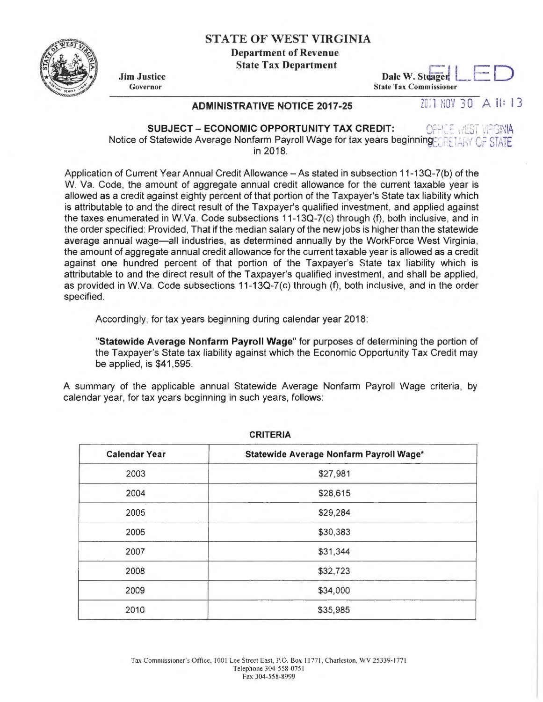## STATE OF WEST VIRGINIA

Department of Revenue

State Tax Department

Jim Justice Governor

## ADMINISTRATIVE NOTICE 2017-25  $2011 N00 30 A 11: 13$

Dale W. Steager State Tax Commissioner

SUBJECT - ECONOMIC OPPORTUNITY TAX CREDIT: **Richard of a firmulation of the state of the state of the state of the state of the state of the state of the state of the state of the state of the state of the state of the sta** Notice of Statewide Average Nonfarm Payroll Wage for tax years beginning CRETARY OF STATE in 2018.

Application of Current Year Annual Credit Allowance - As stated in subsection 11-13Q-7(b) of the W. Va. Code, the amount of aggregate annual credit allowance for the current taxable year is allowed as a credit against eighty percent of that portion of the Taxpayer's State tax liability which is attributable to and the direct result of the Taxpayer's qualified investment, and applied against the taxes enumerated in W.Va. Code subsections 11-13Q-7(c) through (f), both inclusive, and in the order specified: Provided, That if the median salary of the new jobs is higher than the statewide average annual wage-all industries, as determined annually by the WorkForce West Virginia, the amount of aggregate annual credit allowance for the current taxable year is allowed as a credit against one hundred percent of that portion of the Taxpayer's State tax liability which is attributable to and the direct result of the Taxpayer's qualified investment, and shall be applied, as provided in W.Va. Code subsections 11-13Q-7(c) through (f), both inclusive, and in the order specified.

Accordingly, for tax years beginning during calendar year 2018:

"Statewide Average Nonfarm Payroll Wage" for purposes of determining the portion of the Taxpayer's State tax liability against which the Economic Opportunity Tax Credit may be applied, is \$41,595.

A summary of the applicable annual Statewide Average Nonfarm Payroll Wage criteria, by calendar year, for tax years beginning in such years, follows:

| <b>Calendar Year</b> | Statewide Average Nonfarm Payroll Wage* |
|----------------------|-----------------------------------------|
| 2003                 | \$27,981                                |
| 2004                 | \$28,615                                |
| 2005                 | \$29,284                                |
| 2006                 | \$30,383                                |
| 2007                 | \$31,344                                |
| 2008                 | \$32,723                                |
| 2009                 | \$34,000                                |
| 2010                 | \$35,985                                |

CRITERIA